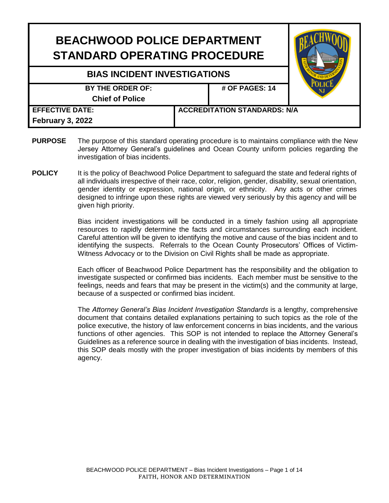| <b>BEACHWOOD POLICE DEPARTMENT</b><br><b>STANDARD OPERATING PROCEDURE</b> |  |                                     |  |
|---------------------------------------------------------------------------|--|-------------------------------------|--|
| <b>BIAS INCIDENT INVESTIGATIONS</b>                                       |  |                                     |  |
| BY THE ORDER OF:<br><b>Chief of Police</b>                                |  | # OF PAGES: 14                      |  |
| <b>EFFECTIVE DATE:</b><br>February 3, 2022                                |  | <b>ACCREDITATION STANDARDS: N/A</b> |  |

- **PURPOSE** The purpose of this standard operating procedure is to maintains compliance with the New Jersey Attorney General's guidelines and Ocean County uniform policies regarding the investigation of bias incidents.
- **POLICY** It is the policy of Beachwood Police Department to safeguard the state and federal rights of all individuals irrespective of their race, color, religion, gender, disability, sexual orientation, gender identity or expression, national origin, or ethnicity. Any acts or other crimes designed to infringe upon these rights are viewed very seriously by this agency and will be given high priority.

Bias incident investigations will be conducted in a timely fashion using all appropriate resources to rapidly determine the facts and circumstances surrounding each incident. Careful attention will be given to identifying the motive and cause of the bias incident and to identifying the suspects. Referrals to the Ocean County Prosecutors' Offices of Victim-Witness Advocacy or to the Division on Civil Rights shall be made as appropriate.

Each officer of Beachwood Police Department has the responsibility and the obligation to investigate suspected or confirmed bias incidents. Each member must be sensitive to the feelings, needs and fears that may be present in the victim(s) and the community at large, because of a suspected or confirmed bias incident.

The *Attorney General's Bias Incident Investigation Standards* is a lengthy, comprehensive document that contains detailed explanations pertaining to such topics as the role of the police executive, the history of law enforcement concerns in bias incidents, and the various functions of other agencies. This SOP is not intended to replace the Attorney General's Guidelines as a reference source in dealing with the investigation of bias incidents. Instead, this SOP deals mostly with the proper investigation of bias incidents by members of this agency.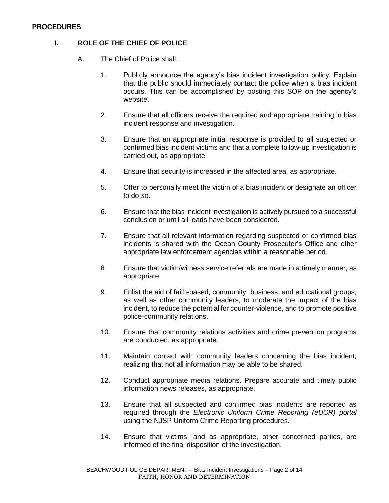#### **PROCEDURES**

# **I. ROLE OF THE CHIEF OF POLICE**

- A. The Chief of Police shall:
	- 1. Publicly announce the agency's bias incident investigation policy. Explain that the public should immediately contact the police when a bias incident occurs. This can be accomplished by posting this SOP on the agency's website.
	- 2. Ensure that all officers receive the required and appropriate training in bias incident response and investigation.
	- 3. Ensure that an appropriate initial response is provided to all suspected or confirmed bias incident victims and that a complete follow-up investigation is carried out, as appropriate.
	- 4. Ensure that security is increased in the affected area, as appropriate.
	- 5. Offer to personally meet the victim of a bias incident or designate an officer to do so.
	- 6. Ensure that the bias incident investigation is actively pursued to a successful conclusion or until all leads have been considered.
	- 7. Ensure that all relevant information regarding suspected or confirmed bias incidents is shared with the Ocean County Prosecutor's Office and other appropriate law enforcement agencies within a reasonable period.
	- 8. Ensure that victim/witness service referrals are made in a timely manner, as appropriate.
	- 9. Enlist the aid of faith-based, community, business, and educational groups, as well as other community leaders, to moderate the impact of the bias incident, to reduce the potential for counter-violence, and to promote positive police-community relations.
	- 10. Ensure that community relations activities and crime prevention programs are conducted, as appropriate.
	- 11. Maintain contact with community leaders concerning the bias incident, realizing that not all information may be able to be shared.
	- 12. Conduct appropriate media relations. Prepare accurate and timely public information news releases, as appropriate.
	- 13. Ensure that all suspected and confirmed bias incidents are reported as required through the *Electronic Uniform Crime Reporting (eUCR) portal* using the NJSP Uniform Crime Reporting procedures.
	- 14. Ensure that victims, and as appropriate, other concerned parties, are informed of the final disposition of the investigation.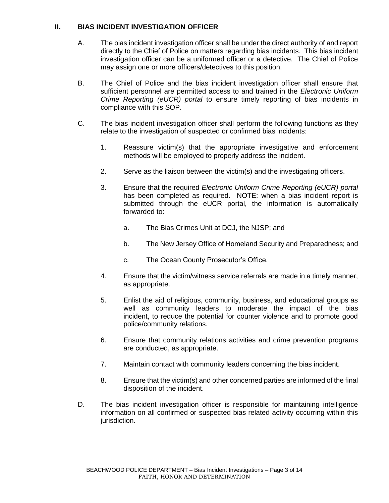## **II. BIAS INCIDENT INVESTIGATION OFFICER**

- A. The bias incident investigation officer shall be under the direct authority of and report directly to the Chief of Police on matters regarding bias incidents. This bias incident investigation officer can be a uniformed officer or a detective. The Chief of Police may assign one or more officers/detectives to this position.
- B. The Chief of Police and the bias incident investigation officer shall ensure that sufficient personnel are permitted access to and trained in the *Electronic Uniform Crime Reporting (eUCR) portal* to ensure timely reporting of bias incidents in compliance with this SOP.
- C. The bias incident investigation officer shall perform the following functions as they relate to the investigation of suspected or confirmed bias incidents:
	- 1. Reassure victim(s) that the appropriate investigative and enforcement methods will be employed to properly address the incident.
	- 2. Serve as the liaison between the victim(s) and the investigating officers.
	- 3. Ensure that the required *Electronic Uniform Crime Reporting (eUCR) portal*  has been completed as required. NOTE: when a bias incident report is submitted through the eUCR portal, the information is automatically forwarded to:
		- a. The Bias Crimes Unit at DCJ, the NJSP; and
		- b. The New Jersey Office of Homeland Security and Preparedness; and
		- c. The Ocean County Prosecutor's Office.
	- 4. Ensure that the victim/witness service referrals are made in a timely manner, as appropriate.
	- 5. Enlist the aid of religious, community, business, and educational groups as well as community leaders to moderate the impact of the bias incident, to reduce the potential for counter violence and to promote good police/community relations.
	- 6. Ensure that community relations activities and crime prevention programs are conducted, as appropriate.
	- 7. Maintain contact with community leaders concerning the bias incident.
	- 8. Ensure that the victim(s) and other concerned parties are informed of the final disposition of the incident.
- D. The bias incident investigation officer is responsible for maintaining intelligence information on all confirmed or suspected bias related activity occurring within this jurisdiction.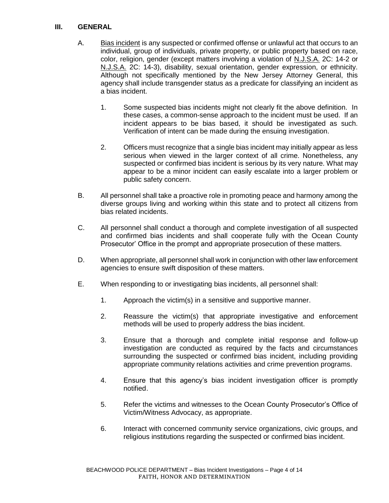### **III. GENERAL**

- A. Bias incident is any suspected or confirmed offense or unlawful act that occurs to an individual, group of individuals, private property, or public property based on race, color, religion, gender (except matters involving a violation of N.J.S.A. 2C: 14-2 or N.J.S.A. 2C: 14-3), disability, sexual orientation, gender expression, or ethnicity. Although not specifically mentioned by the New Jersey Attorney General, this agency shall include transgender status as a predicate for classifying an incident as a bias incident.
	- 1. Some suspected bias incidents might not clearly fit the above definition. In these cases, a common-sense approach to the incident must be used. If an incident appears to be bias based, it should be investigated as such. Verification of intent can be made during the ensuing investigation.
	- 2. Officers must recognize that a single bias incident may initially appear as less serious when viewed in the larger context of all crime. Nonetheless, any suspected or confirmed bias incident is serious by its very nature. What may appear to be a minor incident can easily escalate into a larger problem or public safety concern.
- B. All personnel shall take a proactive role in promoting peace and harmony among the diverse groups living and working within this state and to protect all citizens from bias related incidents.
- C. All personnel shall conduct a thorough and complete investigation of all suspected and confirmed bias incidents and shall cooperate fully with the Ocean County Prosecutor' Office in the prompt and appropriate prosecution of these matters.
- D. When appropriate, all personnel shall work in conjunction with other law enforcement agencies to ensure swift disposition of these matters.
- E. When responding to or investigating bias incidents, all personnel shall:
	- 1. Approach the victim(s) in a sensitive and supportive manner.
	- 2. Reassure the victim(s) that appropriate investigative and enforcement methods will be used to properly address the bias incident.
	- 3. Ensure that a thorough and complete initial response and follow-up investigation are conducted as required by the facts and circumstances surrounding the suspected or confirmed bias incident, including providing appropriate community relations activities and crime prevention programs.
	- 4. Ensure that this agency's bias incident investigation officer is promptly notified.
	- 5. Refer the victims and witnesses to the Ocean County Prosecutor's Office of Victim/Witness Advocacy, as appropriate.
	- 6. Interact with concerned community service organizations, civic groups, and religious institutions regarding the suspected or confirmed bias incident.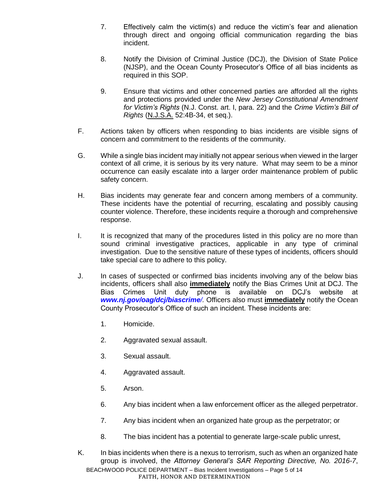- 7. Effectively calm the victim(s) and reduce the victim's fear and alienation through direct and ongoing official communication regarding the bias incident.
- 8. Notify the Division of Criminal Justice (DCJ), the Division of State Police (NJSP), and the Ocean County Prosecutor's Office of all bias incidents as required in this SOP.
- 9. Ensure that victims and other concerned parties are afforded all the rights and protections provided under the *New Jersey Constitutional Amendment for Victim's Rights* (N.J. Const. art. I, para. 22) and the *Crime Victim's Bill of Rights* (N.J.S.A. 52:4B-34, et seq.).
- F. Actions taken by officers when responding to bias incidents are visible signs of concern and commitment to the residents of the community.
- G. While a single bias incident may initially not appear serious when viewed in the larger context of all crime, it is serious by its very nature. What may seem to be a minor occurrence can easily escalate into a larger order maintenance problem of public safety concern.
- H. Bias incidents may generate fear and concern among members of a community. These incidents have the potential of recurring, escalating and possibly causing counter violence. Therefore, these incidents require a thorough and comprehensive response.
- I. It is recognized that many of the procedures listed in this policy are no more than sound criminal investigative practices, applicable in any type of criminal investigation. Due to the sensitive nature of these types of incidents, officers should take special care to adhere to this policy.
- J. In cases of suspected or confirmed bias incidents involving any of the below bias incidents, officers shall also **immediately** notify the Bias Crimes Unit at DCJ. The Bias Crimes Unit duty phone is available on DCJ's website at *www.nj.gov/oag/dcj/biascrime/.* Officers also must **immediately** notify the Ocean County Prosecutor's Office of such an incident. These incidents are:
	- 1. Homicide.
	- 2. Aggravated sexual assault.
	- 3. Sexual assault.
	- 4. Aggravated assault.
	- 5. Arson.
	- 6. Any bias incident when a law enforcement officer as the alleged perpetrator.
	- 7. Any bias incident when an organized hate group as the perpetrator; or
	- 8. The bias incident has a potential to generate large-scale public unrest,
- BEACHWOOD POLICE DEPARTMENT Bias Incident Investigations Page 5 of 14 FAITH, HONOR AND DETERMINATION K. In bias incidents when there is a nexus to terrorism, such as when an organized hate group is involved, the *Attorney General's SAR Reporting Directive, No. 2016-7*,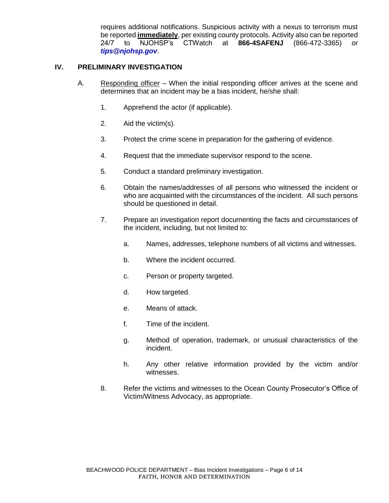requires additional notifications. Suspicious activity with a nexus to terrorism must be reported **immediately**, per existing county protocols. Activity also can be reported 24/7 to NJOHSP's CTWatch at **866-4SAFENJ** (866-472-3365) or *tips@njohsp.gov*.

## **IV. PRELIMINARY INVESTIGATION**

- A. Responding officer When the initial responding officer arrives at the scene and determines that an incident may be a bias incident, he/she shall:
	- 1. Apprehend the actor (if applicable).
	- 2. Aid the victim(s).
	- 3. Protect the crime scene in preparation for the gathering of evidence.
	- 4. Request that the immediate supervisor respond to the scene.
	- 5. Conduct a standard preliminary investigation.
	- 6. Obtain the names/addresses of all persons who witnessed the incident or who are acquainted with the circumstances of the incident. All such persons should be questioned in detail.
	- 7. Prepare an investigation report documenting the facts and circumstances of the incident, including, but not limited to:
		- a. Names, addresses, telephone numbers of all victims and witnesses.
		- b. Where the incident occurred.
		- c. Person or property targeted.
		- d. How targeted.
		- e. Means of attack.
		- f. Time of the incident.
		- g. Method of operation, trademark, or unusual characteristics of the incident.
		- h. Any other relative information provided by the victim and/or witnesses.
	- 8. Refer the victims and witnesses to the Ocean County Prosecutor's Office of Victim/Witness Advocacy, as appropriate.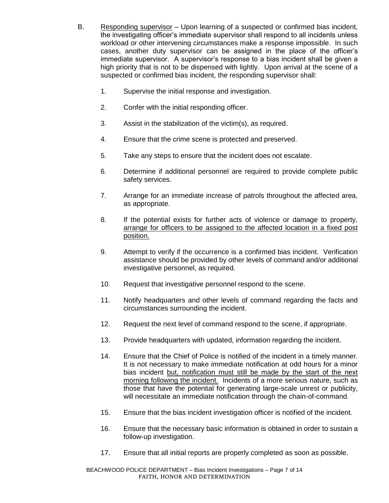- B. Responding supervisor Upon learning of a suspected or confirmed bias incident, the investigating officer's immediate supervisor shall respond to all incidents unless workload or other intervening circumstances make a response impossible. In such cases, another duty supervisor can be assigned in the place of the officer's immediate supervisor. A supervisor's response to a bias incident shall be given a high priority that is not to be dispensed with lightly. Upon arrival at the scene of a suspected or confirmed bias incident, the responding supervisor shall:
	- 1. Supervise the initial response and investigation.
	- 2. Confer with the initial responding officer.
	- 3. Assist in the stabilization of the victim(s), as required.
	- 4. Ensure that the crime scene is protected and preserved.
	- 5. Take any steps to ensure that the incident does not escalate.
	- 6. Determine if additional personnel are required to provide complete public safety services.
	- 7. Arrange for an immediate increase of patrols throughout the affected area, as appropriate.
	- 8. If the potential exists for further acts of violence or damage to property, arrange for officers to be assigned to the affected location in a fixed post position.
	- 9. Attempt to verify if the occurrence is a confirmed bias incident. Verification assistance should be provided by other levels of command and/or additional investigative personnel, as required.
	- 10. Request that investigative personnel respond to the scene.
	- 11. Notify headquarters and other levels of command regarding the facts and circumstances surrounding the incident.
	- 12. Request the next level of command respond to the scene, if appropriate.
	- 13. Provide headquarters with updated, information regarding the incident.
	- 14. Ensure that the Chief of Police is notified of the incident in a timely manner. It is not necessary to make immediate notification at odd hours for a minor bias incident but, notification must still be made by the start of the next morning following the incident. Incidents of a more serious nature, such as those that have the potential for generating large-scale unrest or publicity, will necessitate an immediate notification through the chain-of-command.
	- 15. Ensure that the bias incident investigation officer is notified of the incident.
	- 16. Ensure that the necessary basic information is obtained in order to sustain a follow-up investigation.
	- 17. Ensure that all initial reports are properly completed as soon as possible.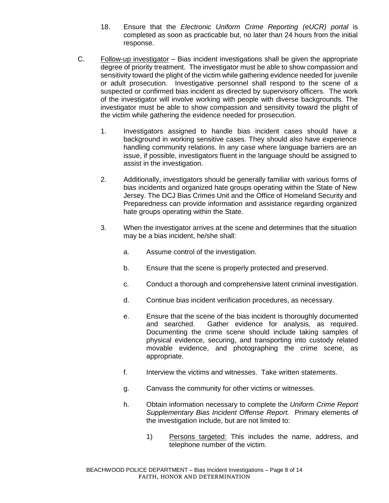- 18. Ensure that the *Electronic Uniform Crime Reporting (eUCR) portal* is completed as soon as practicable but, no later than 24 hours from the initial response.
- C. Follow-up investigator Bias incident investigations shall be given the appropriate degree of priority treatment. The investigator must be able to show compassion and sensitivity toward the plight of the victim while gathering evidence needed for juvenile or adult prosecution. Investigative personnel shall respond to the scene of a suspected or confirmed bias incident as directed by supervisory officers. The work of the investigator will involve working with people with diverse backgrounds. The investigator must be able to show compassion and sensitivity toward the plight of the victim while gathering the evidence needed for prosecution.
	- 1. Investigators assigned to handle bias incident cases should have a background in working sensitive cases. They should also have experience handling community relations. In any case where language barriers are an issue, if possible, investigators fluent in the language should be assigned to assist in the investigation.
	- 2. Additionally, investigators should be generally familiar with various forms of bias incidents and organized hate groups operating within the State of New Jersey. The DCJ Bias Crimes Unit and the Office of Homeland Security and Preparedness can provide information and assistance regarding organized hate groups operating within the State.
	- 3. When the investigator arrives at the scene and determines that the situation may be a bias incident, he/she shall:
		- a. Assume control of the investigation.
		- b. Ensure that the scene is properly protected and preserved.
		- c. Conduct a thorough and comprehensive latent criminal investigation.
		- d. Continue bias incident verification procedures, as necessary.
		- e. Ensure that the scene of the bias incident is thoroughly documented and searched. Gather evidence for analysis, as required. Documenting the crime scene should include taking samples of physical evidence, securing, and transporting into custody related movable evidence, and photographing the crime scene, as appropriate.
		- f. Interview the victims and witnesses. Take written statements.
		- g. Canvass the community for other victims or witnesses.
		- h. Obtain information necessary to complete the *Uniform Crime Report Supplementary Bias Incident Offense Report.* Primary elements of the investigation include, but are not limited to:
			- 1) Persons targeted: This includes the name, address, and telephone number of the victim.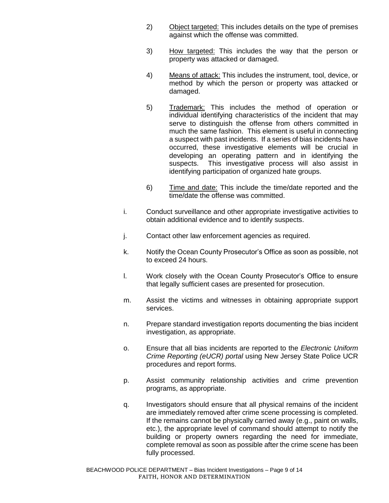- 2) Object targeted: This includes details on the type of premises against which the offense was committed.
- 3) How targeted: This includes the way that the person or property was attacked or damaged.
- 4) Means of attack: This includes the instrument, tool, device, or method by which the person or property was attacked or damaged.
- 5) Trademark: This includes the method of operation or individual identifying characteristics of the incident that may serve to distinguish the offense from others committed in much the same fashion. This element is useful in connecting a suspect with past incidents. If a series of bias incidents have occurred, these investigative elements will be crucial in developing an operating pattern and in identifying the suspects. This investigative process will also assist in identifying participation of organized hate groups.
- 6) Time and date: This include the time/date reported and the time/date the offense was committed.
- i. Conduct surveillance and other appropriate investigative activities to obtain additional evidence and to identify suspects.
- j. Contact other law enforcement agencies as required.
- k. Notify the Ocean County Prosecutor's Office as soon as possible, not to exceed 24 hours.
- l. Work closely with the Ocean County Prosecutor's Office to ensure that legally sufficient cases are presented for prosecution.
- m. Assist the victims and witnesses in obtaining appropriate support services.
- n. Prepare standard investigation reports documenting the bias incident investigation, as appropriate.
- o. Ensure that all bias incidents are reported to the *Electronic Uniform Crime Reporting (eUCR) portal* using New Jersey State Police UCR procedures and report forms.
- p. Assist community relationship activities and crime prevention programs, as appropriate.
- q. Investigators should ensure that all physical remains of the incident are immediately removed after crime scene processing is completed. If the remains cannot be physically carried away (e.g., paint on walls, etc.), the appropriate level of command should attempt to notify the building or property owners regarding the need for immediate, complete removal as soon as possible after the crime scene has been fully processed.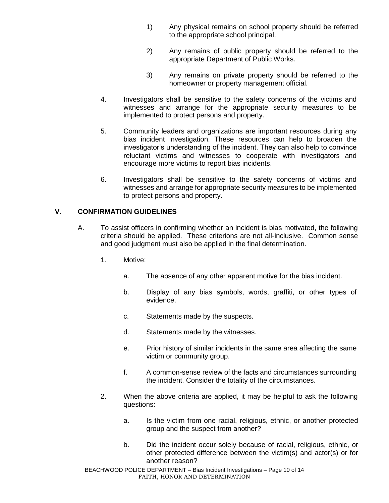- 1) Any physical remains on school property should be referred to the appropriate school principal.
- 2) Any remains of public property should be referred to the appropriate Department of Public Works.
- 3) Any remains on private property should be referred to the homeowner or property management official.
- 4. Investigators shall be sensitive to the safety concerns of the victims and witnesses and arrange for the appropriate security measures to be implemented to protect persons and property.
- 5. Community leaders and organizations are important resources during any bias incident investigation. These resources can help to broaden the investigator's understanding of the incident. They can also help to convince reluctant victims and witnesses to cooperate with investigators and encourage more victims to report bias incidents.
- 6. Investigators shall be sensitive to the safety concerns of victims and witnesses and arrange for appropriate security measures to be implemented to protect persons and property.

## **V. CONFIRMATION GUIDELINES**

- A. To assist officers in confirming whether an incident is bias motivated, the following criteria should be applied. These criterions are not all-inclusive. Common sense and good judgment must also be applied in the final determination.
	- 1. Motive:
		- a. The absence of any other apparent motive for the bias incident.
		- b. Display of any bias symbols, words, graffiti, or other types of evidence.
		- c. Statements made by the suspects.
		- d. Statements made by the witnesses.
		- e. Prior history of similar incidents in the same area affecting the same victim or community group.
		- f. A common-sense review of the facts and circumstances surrounding the incident. Consider the totality of the circumstances.
	- 2. When the above criteria are applied, it may be helpful to ask the following questions:
		- a. Is the victim from one racial, religious, ethnic, or another protected group and the suspect from another?
		- b. Did the incident occur solely because of racial, religious, ethnic, or other protected difference between the victim(s) and actor(s) or for another reason?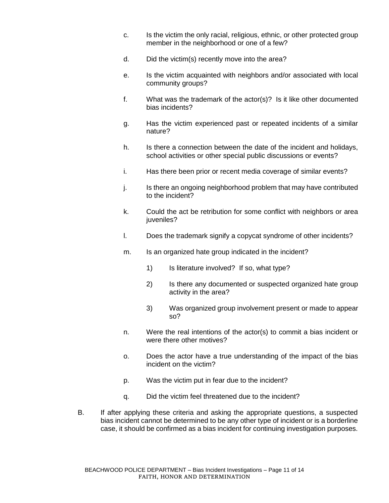- c. Is the victim the only racial, religious, ethnic, or other protected group member in the neighborhood or one of a few?
- d. Did the victim(s) recently move into the area?
- e. Is the victim acquainted with neighbors and/or associated with local community groups?
- f. What was the trademark of the actor(s)? Is it like other documented bias incidents?
- g. Has the victim experienced past or repeated incidents of a similar nature?
- h. Is there a connection between the date of the incident and holidays, school activities or other special public discussions or events?
- i. Has there been prior or recent media coverage of similar events?
- j. Is there an ongoing neighborhood problem that may have contributed to the incident?
- k. Could the act be retribution for some conflict with neighbors or area iuveniles?
- l. Does the trademark signify a copycat syndrome of other incidents?
- m. Is an organized hate group indicated in the incident?
	- 1) Is literature involved? If so, what type?
	- 2) Is there any documented or suspected organized hate group activity in the area?
	- 3) Was organized group involvement present or made to appear so?
- n. Were the real intentions of the actor(s) to commit a bias incident or were there other motives?
- o. Does the actor have a true understanding of the impact of the bias incident on the victim?
- p. Was the victim put in fear due to the incident?
- q. Did the victim feel threatened due to the incident?
- B. If after applying these criteria and asking the appropriate questions, a suspected bias incident cannot be determined to be any other type of incident or is a borderline case, it should be confirmed as a bias incident for continuing investigation purposes.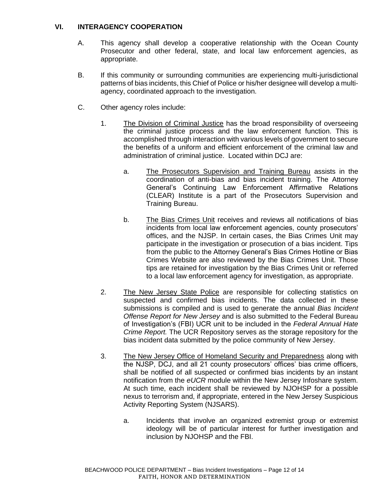## **VI. INTERAGENCY COOPERATION**

- A. This agency shall develop a cooperative relationship with the Ocean County Prosecutor and other federal, state, and local law enforcement agencies, as appropriate.
- B. If this community or surrounding communities are experiencing multi-jurisdictional patterns of bias incidents, this Chief of Police or his/her designee will develop a multiagency, coordinated approach to the investigation.
- C. Other agency roles include:
	- 1. The Division of Criminal Justice has the broad responsibility of overseeing the criminal justice process and the law enforcement function. This is accomplished through interaction with various levels of government to secure the benefits of a uniform and efficient enforcement of the criminal law and administration of criminal justice. Located within DCJ are:
		- a. The Prosecutors Supervision and Training Bureau assists in the coordination of anti-bias and bias incident training. The Attorney General's Continuing Law Enforcement Affirmative Relations (CLEAR) Institute is a part of the Prosecutors Supervision and Training Bureau.
		- b. The Bias Crimes Unit receives and reviews all notifications of bias incidents from local law enforcement agencies, county prosecutors' offices, and the NJSP. In certain cases, the Bias Crimes Unit may participate in the investigation or prosecution of a bias incident. Tips from the public to the Attorney General's Bias Crimes Hotline or Bias Crimes Website are also reviewed by the Bias Crimes Unit. Those tips are retained for investigation by the Bias Crimes Unit or referred to a local law enforcement agency for investigation, as appropriate.
	- 2. The New Jersey State Police are responsible for collecting statistics on suspected and confirmed bias incidents. The data collected in these submissions is compiled and is used to generate the annual *Bias Incident Offense Report for New Jersey* and is also submitted to the Federal Bureau of Investigation's (FBI) UCR unit to be included in the *Federal Annual Hate Crime Report.* The UCR Repository serves as the storage repository for the bias incident data submitted by the police community of New Jersey.
	- 3. The New Jersey Office of Homeland Security and Preparedness along with the NJSP, DCJ, and all 21 county prosecutors' offices' bias crime officers, shall be notified of all suspected or confirmed bias incidents by an instant notification from the *eUCR* module within the New Jersey Infoshare system. At such time, each incident shall be reviewed by NJOHSP for a possible nexus to terrorism and, if appropriate, entered in the New Jersey Suspicious Activity Reporting System (NJSARS).
		- a. Incidents that involve an organized extremist group or extremist ideology will be of particular interest for further investigation and inclusion by NJOHSP and the FBI.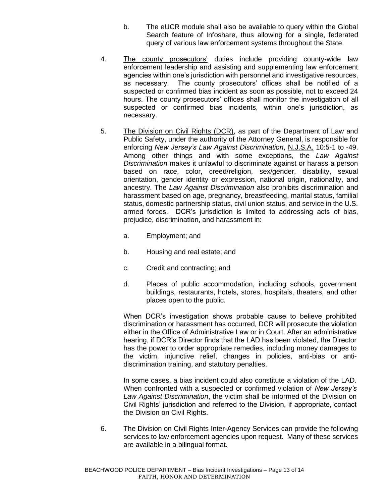- b. The eUCR module shall also be available to query within the Global Search feature of Infoshare, thus allowing for a single, federated query of various law enforcement systems throughout the State.
- 4. The county prosecutors' duties include providing county-wide law enforcement leadership and assisting and supplementing law enforcement agencies within one's jurisdiction with personnel and investigative resources, as necessary. The county prosecutors' offices shall be notified of a suspected or confirmed bias incident as soon as possible, not to exceed 24 hours. The county prosecutors' offices shall monitor the investigation of all suspected or confirmed bias incidents, within one's jurisdiction, as necessary.
- 5. The Division on Civil Rights (DCR), as part of the Department of Law and Public Safety, under the authority of the Attorney General, is responsible for enforcing *New Jersey's Law Against Discrimination*, N.J.S.A. 10:5-1 to -49. Among other things and with some exceptions, the *Law Against Discrimination* makes it unlawful to discriminate against or harass a person based on race, color, creed/religion, sex/gender, disability, sexual orientation, gender identity or expression, national origin, nationality, and ancestry. The *Law Against Discrimination* also prohibits discrimination and harassment based on age, pregnancy, breastfeeding, marital status, familial status, domestic partnership status, civil union status, and service in the U.S. armed forces. DCR's jurisdiction is limited to addressing acts of bias, prejudice, discrimination, and harassment in:
	- a. Employment; and
	- b. Housing and real estate; and
	- c. Credit and contracting; and
	- d. Places of public accommodation, including schools, government buildings, restaurants, hotels, stores, hospitals, theaters, and other places open to the public.

When DCR's investigation shows probable cause to believe prohibited discrimination or harassment has occurred, DCR will prosecute the violation either in the Office of Administrative Law or in Court. After an administrative hearing, if DCR's Director finds that the LAD has been violated, the Director has the power to order appropriate remedies, including money damages to the victim, injunctive relief, changes in policies, anti-bias or antidiscrimination training, and statutory penalties.

In some cases, a bias incident could also constitute a violation of the LAD. When confronted with a suspected or confirmed violation of *New Jersey's Law Against Discrimination*, the victim shall be informed of the Division on Civil Rights' jurisdiction and referred to the Division, if appropriate, contact the Division on Civil Rights.

6. The Division on Civil Rights Inter-Agency Services can provide the following services to law enforcement agencies upon request. Many of these services are available in a bilingual format.